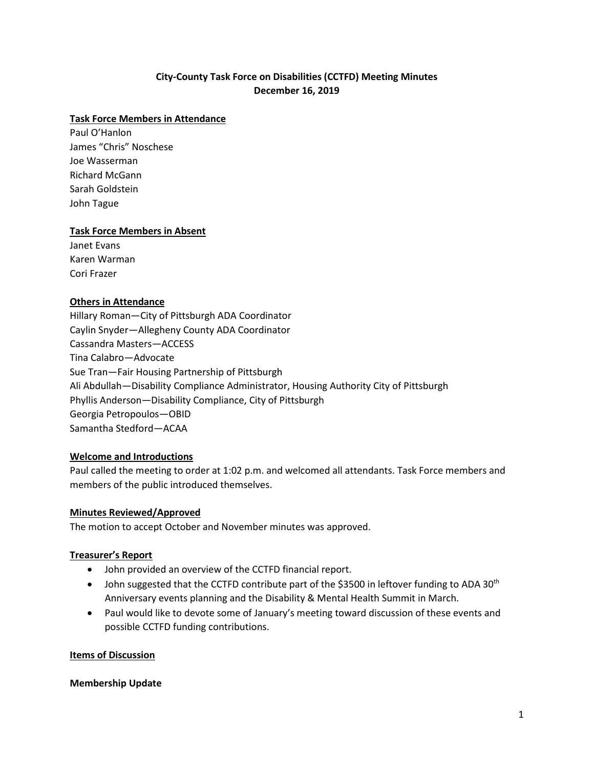# **City-County Task Force on Disabilities (CCTFD) Meeting Minutes December 16, 2019**

#### **Task Force Members in Attendance**

Paul O'Hanlon James "Chris" Noschese Joe Wasserman Richard McGann Sarah Goldstein John Tague

#### **Task Force Members in Absent**

Janet Evans Karen Warman Cori Frazer

### **Others in Attendance**

Hillary Roman—City of Pittsburgh ADA Coordinator Caylin Snyder—Allegheny County ADA Coordinator Cassandra Masters—ACCESS Tina Calabro—Advocate Sue Tran—Fair Housing Partnership of Pittsburgh Ali Abdullah—Disability Compliance Administrator, Housing Authority City of Pittsburgh Phyllis Anderson—Disability Compliance, City of Pittsburgh Georgia Petropoulos—OBID Samantha Stedford—ACAA

## **Welcome and Introductions**

Paul called the meeting to order at 1:02 p.m. and welcomed all attendants. Task Force members and members of the public introduced themselves.

#### **Minutes Reviewed/Approved**

The motion to accept October and November minutes was approved.

## **Treasurer's Report**

- John provided an overview of the CCTFD financial report.
- John suggested that the CCTFD contribute part of the \$3500 in leftover funding to ADA 30<sup>th</sup> Anniversary events planning and the Disability & Mental Health Summit in March.
- Paul would like to devote some of January's meeting toward discussion of these events and possible CCTFD funding contributions.

#### **Items of Discussion**

#### **Membership Update**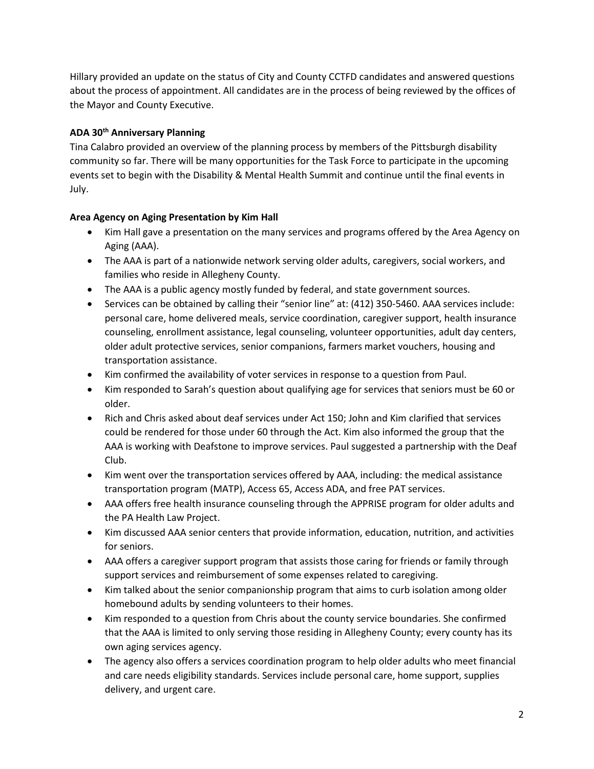Hillary provided an update on the status of City and County CCTFD candidates and answered questions about the process of appointment. All candidates are in the process of being reviewed by the offices of the Mayor and County Executive.

## **ADA 30th Anniversary Planning**

Tina Calabro provided an overview of the planning process by members of the Pittsburgh disability community so far. There will be many opportunities for the Task Force to participate in the upcoming events set to begin with the Disability & Mental Health Summit and continue until the final events in July.

## **Area Agency on Aging Presentation by Kim Hall**

- Kim Hall gave a presentation on the many services and programs offered by the Area Agency on Aging (AAA).
- The AAA is part of a nationwide network serving older adults, caregivers, social workers, and families who reside in Allegheny County.
- The AAA is a public agency mostly funded by federal, and state government sources.
- Services can be obtained by calling their "senior line" at: (412) 350-5460. AAA services include: personal care, home delivered meals, service coordination, caregiver support, health insurance counseling, enrollment assistance, legal counseling, volunteer opportunities, adult day centers, older adult protective services, senior companions, farmers market vouchers, housing and transportation assistance.
- Kim confirmed the availability of voter services in response to a question from Paul.
- Kim responded to Sarah's question about qualifying age for services that seniors must be 60 or older.
- Rich and Chris asked about deaf services under Act 150; John and Kim clarified that services could be rendered for those under 60 through the Act. Kim also informed the group that the AAA is working with Deafstone to improve services. Paul suggested a partnership with the Deaf Club.
- Kim went over the transportation services offered by AAA, including: the medical assistance transportation program (MATP), Access 65, Access ADA, and free PAT services.
- AAA offers free health insurance counseling through the APPRISE program for older adults and the PA Health Law Project.
- Kim discussed AAA senior centers that provide information, education, nutrition, and activities for seniors.
- AAA offers a caregiver support program that assists those caring for friends or family through support services and reimbursement of some expenses related to caregiving.
- Kim talked about the senior companionship program that aims to curb isolation among older homebound adults by sending volunteers to their homes.
- Kim responded to a question from Chris about the county service boundaries. She confirmed that the AAA is limited to only serving those residing in Allegheny County; every county has its own aging services agency.
- The agency also offers a services coordination program to help older adults who meet financial and care needs eligibility standards. Services include personal care, home support, supplies delivery, and urgent care.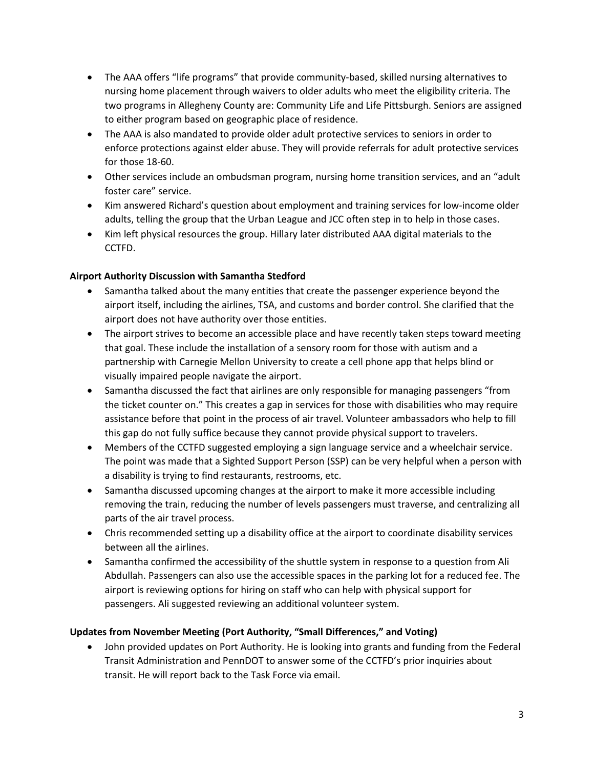- The AAA offers "life programs" that provide community-based, skilled nursing alternatives to nursing home placement through waivers to older adults who meet the eligibility criteria. The two programs in Allegheny County are: Community Life and Life Pittsburgh. Seniors are assigned to either program based on geographic place of residence.
- The AAA is also mandated to provide older adult protective services to seniors in order to enforce protections against elder abuse. They will provide referrals for adult protective services for those 18-60.
- Other services include an ombudsman program, nursing home transition services, and an "adult foster care" service.
- Kim answered Richard's question about employment and training services for low-income older adults, telling the group that the Urban League and JCC often step in to help in those cases.
- Kim left physical resources the group. Hillary later distributed AAA digital materials to the CCTFD.

## **Airport Authority Discussion with Samantha Stedford**

- Samantha talked about the many entities that create the passenger experience beyond the airport itself, including the airlines, TSA, and customs and border control. She clarified that the airport does not have authority over those entities.
- The airport strives to become an accessible place and have recently taken steps toward meeting that goal. These include the installation of a sensory room for those with autism and a partnership with Carnegie Mellon University to create a cell phone app that helps blind or visually impaired people navigate the airport.
- Samantha discussed the fact that airlines are only responsible for managing passengers "from the ticket counter on." This creates a gap in services for those with disabilities who may require assistance before that point in the process of air travel. Volunteer ambassadors who help to fill this gap do not fully suffice because they cannot provide physical support to travelers.
- Members of the CCTFD suggested employing a sign language service and a wheelchair service. The point was made that a Sighted Support Person (SSP) can be very helpful when a person with a disability is trying to find restaurants, restrooms, etc.
- Samantha discussed upcoming changes at the airport to make it more accessible including removing the train, reducing the number of levels passengers must traverse, and centralizing all parts of the air travel process.
- Chris recommended setting up a disability office at the airport to coordinate disability services between all the airlines.
- Samantha confirmed the accessibility of the shuttle system in response to a question from Ali Abdullah. Passengers can also use the accessible spaces in the parking lot for a reduced fee. The airport is reviewing options for hiring on staff who can help with physical support for passengers. Ali suggested reviewing an additional volunteer system.

# **Updates from November Meeting (Port Authority, "Small Differences," and Voting)**

• John provided updates on Port Authority. He is looking into grants and funding from the Federal Transit Administration and PennDOT to answer some of the CCTFD's prior inquiries about transit. He will report back to the Task Force via email.